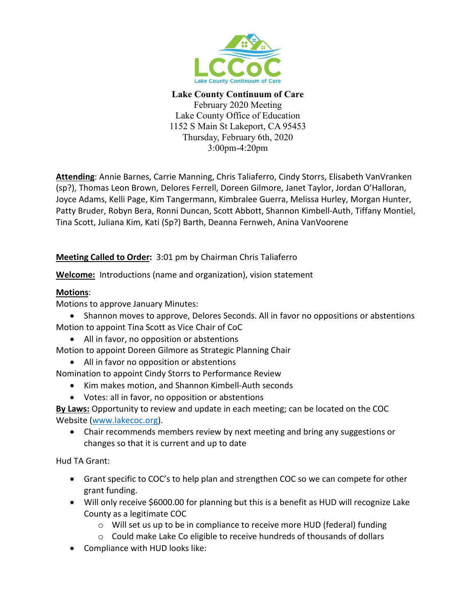

**Lake County Continuum of Care** February 2020 Meeting Lake County Office of Education 1152 S Main St Lakeport, CA 95453 Thursday, February 6th, 2020 3:00pm-4:20pm

**Attending**: Annie Barnes, Carrie Manning, Chris Taliaferro, Cindy Storrs, Elisabeth VanVranken (sp?), Thomas Leon Brown, Delores Ferrell, Doreen Gilmore, Janet Taylor, Jordan O'Halloran, Joyce Adams, Kelli Page, Kim Tangermann, Kimbralee Guerra, Melissa Hurley, Morgan Hunter, Patty Bruder, Robyn Bera, Ronni Duncan, Scott Abbott, Shannon Kimbell-Auth, Tiffany Montiel, Tina Scott, Juliana Kim, Kati (Sp?) Barth, Deanna Fernweh, Anina VanVoorene

# **Meeting Called to Order:** 3:01 pm by Chairman Chris Taliaferro

**Welcome:** Introductions (name and organization), vision statement

# **Motions**:

Motions to approve January Minutes:

- Shannon moves to approve, Delores Seconds. All in favor no oppositions or abstentions Motion to appoint Tina Scott as Vice Chair of CoC
	- All in favor, no opposition or abstentions

Motion to appoint Doreen Gilmore as Strategic Planning Chair

• All in favor no opposition or abstentions

Nomination to appoint Cindy Storrs to Performance Review

- Kim makes motion, and Shannon Kimbell-Auth seconds
- Votes: all in favor, no opposition or abstentions

**By Laws:** Opportunity to review and update in each meeting; can be located on the COC Website [\(www.lakecoc.org\)](http://www.lakecoc.org/).

• Chair recommends members review by next meeting and bring any suggestions or changes so that it is current and up to date

Hud TA Grant:

- Grant specific to COC's to help plan and strengthen COC so we can compete for other grant funding.
- Will only receive \$6000.00 for planning but this is a benefit as HUD will recognize Lake County as a legitimate COC
	- o Will set us up to be in compliance to receive more HUD (federal) funding
	- o Could make Lake Co eligible to receive hundreds of thousands of dollars
- Compliance with HUD looks like: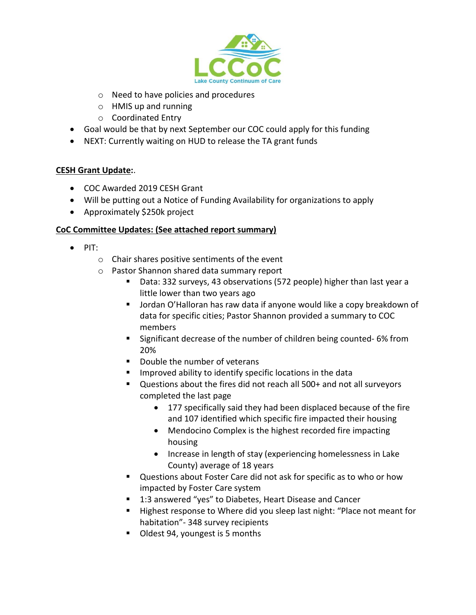

- o Need to have policies and procedures
- o HMIS up and running
- o Coordinated Entry
- Goal would be that by next September our COC could apply for this funding
- NEXT: Currently waiting on HUD to release the TA grant funds

### **CESH Grant Update:**.

- COC Awarded 2019 CESH Grant
- Will be putting out a Notice of Funding Availability for organizations to apply
- Approximately \$250k project

### **CoC Committee Updates: (See attached report summary)**

- PIT:
	- o Chair shares positive sentiments of the event
	- o Pastor Shannon shared data summary report
		- Data: 332 surveys, 43 observations (572 people) higher than last year a little lower than two years ago
		- Jordan O'Halloran has raw data if anyone would like a copy breakdown of data for specific cities; Pastor Shannon provided a summary to COC members
		- **Significant decrease of the number of children being counted-6% from** 20%
		- Double the number of veterans
		- Improved ability to identify specific locations in the data
		- Questions about the fires did not reach all 500+ and not all surveyors completed the last page
			- 177 specifically said they had been displaced because of the fire and 107 identified which specific fire impacted their housing
			- Mendocino Complex is the highest recorded fire impacting housing
			- Increase in length of stay (experiencing homelessness in Lake County) average of 18 years
		- Questions about Foster Care did not ask for specific as to who or how impacted by Foster Care system
		- 1:3 answered "yes" to Diabetes, Heart Disease and Cancer
		- Highest response to Where did you sleep last night: "Place not meant for habitation"- 348 survey recipients
		- Oldest 94, youngest is 5 months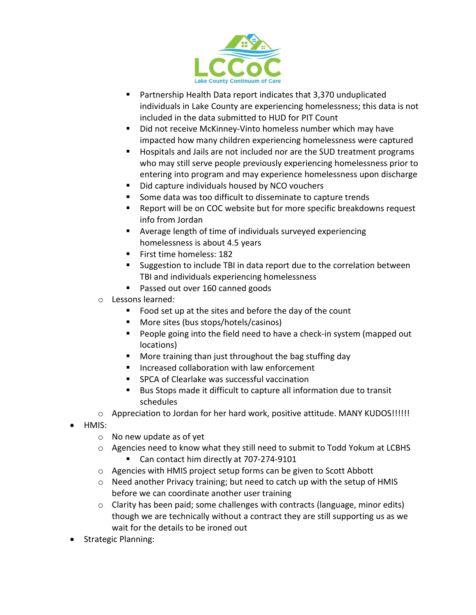

- Partnership Health Data report indicates that 3,370 unduplicated individuals in Lake County are experiencing homelessness; this data is not included in the data submitted to HUD for PIT Count
- Did not receive McKinney-Vinto homeless number which may have impacted how many children experiencing homelessness were captured
- Hospitals and Jails are not included nor are the SUD treatment programs who may still serve people previously experiencing homelessness prior to entering into program and may experience homelessness upon discharge
- Did capture individuals housed by NCO vouchers
- Some data was too difficult to disseminate to capture trends
- Report will be on COC website but for more specific breakdowns request info from Jordan
- Average length of time of individuals surveyed experiencing homelessness is about 4.5 years
- **First time homeless: 182**
- Suggestion to include TBI in data report due to the correlation between TBI and individuals experiencing homelessness
- Passed out over 160 canned goods
- o Lessons learned:
	- Food set up at the sites and before the day of the count
	- More sites (bus stops/hotels/casinos)
	- **People going into the field need to have a check-in system (mapped out** locations)
	- More training than just throughout the bag stuffing day
	- Increased collaboration with law enforcement
	- SPCA of Clearlake was successful vaccination
	- Bus Stops made it difficult to capture all information due to transit schedules
- o Appreciation to Jordan for her hard work, positive attitude. MANY KUDOS!!!!!!
- HMIS:
	- o No new update as of yet
	- o Agencies need to know what they still need to submit to Todd Yokum at LCBHS ■ Can contact him directly at 707-274-9101
	- o Agencies with HMIS project setup forms can be given to Scott Abbott
	- o Need another Privacy training; but need to catch up with the setup of HMIS before we can coordinate another user training
	- $\circ$  Clarity has been paid; some challenges with contracts (language, minor edits) though we are technically without a contract they are still supporting us as we wait for the details to be ironed out
- Strategic Planning: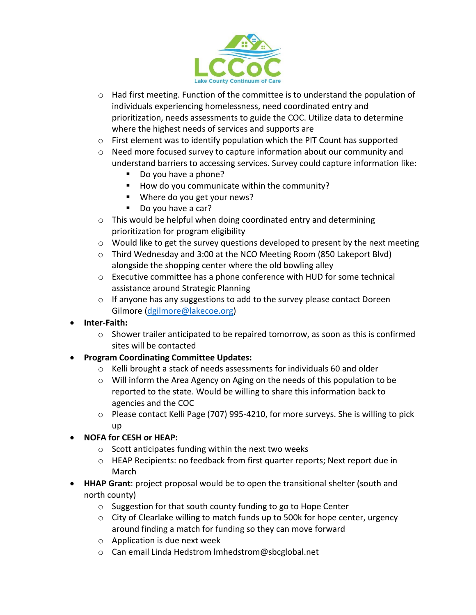

- $\circ$  Had first meeting. Function of the committee is to understand the population of individuals experiencing homelessness, need coordinated entry and prioritization, needs assessments to guide the COC. Utilize data to determine where the highest needs of services and supports are
- o First element was to identify population which the PIT Count has supported
- $\circ$  Need more focused survey to capture information about our community and understand barriers to accessing services. Survey could capture information like:
	- Do you have a phone?
	- $\blacksquare$  How do you communicate within the community?
	- Where do you get your news?
	- Do you have a car?
- o This would be helpful when doing coordinated entry and determining prioritization for program eligibility
- o Would like to get the survey questions developed to present by the next meeting
- $\circ$  Third Wednesday and 3:00 at the NCO Meeting Room (850 Lakeport Blvd) alongside the shopping center where the old bowling alley
- o Executive committee has a phone conference with HUD for some technical assistance around Strategic Planning
- $\circ$  If anyone has any suggestions to add to the survey please contact Doreen Gilmore [\(dgilmore@lakecoe.org\)](mailto:dgilmore@lakecoe.org)
- **Inter-Faith:**
	- $\circ$  Shower trailer anticipated to be repaired tomorrow, as soon as this is confirmed sites will be contacted
- **Program Coordinating Committee Updates:**
	- $\circ$  Kelli brought a stack of needs assessments for individuals 60 and older
	- o Will inform the Area Agency on Aging on the needs of this population to be reported to the state. Would be willing to share this information back to agencies and the COC
	- o Please contact Kelli Page (707) 995-4210, for more surveys. She is willing to pick up
- **NOFA for CESH or HEAP:** 
	- o Scott anticipates funding within the next two weeks
	- o HEAP Recipients: no feedback from first quarter reports; Next report due in March
- **HHAP Grant**: project proposal would be to open the transitional shelter (south and north county)
	- o Suggestion for that south county funding to go to Hope Center
	- $\circ$  City of Clearlake willing to match funds up to 500k for hope center, urgency around finding a match for funding so they can move forward
	- o Application is due next week
	- o Can email Linda Hedstrom lmhedstrom@sbcglobal.net